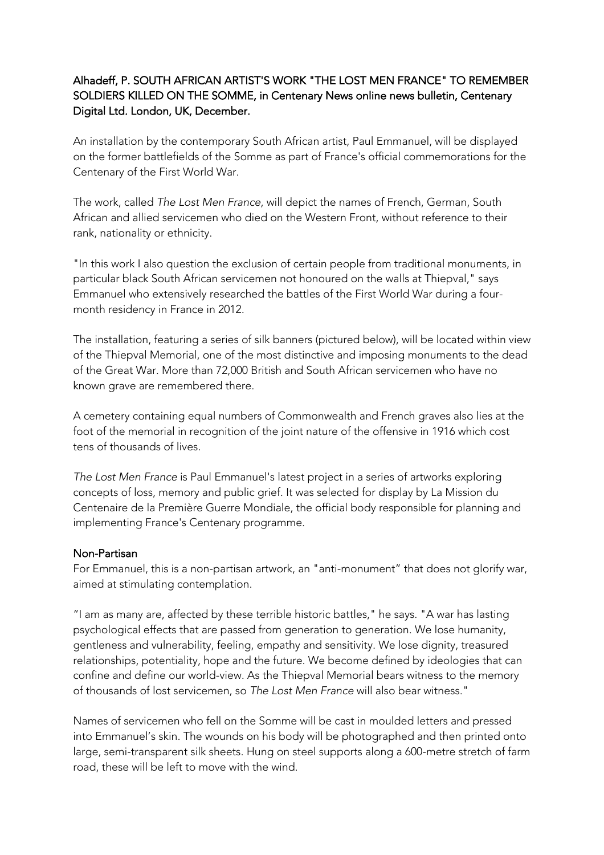## Alhadeff, P. SOUTH AFRICAN ARTIST'S WORK "THE LOST MEN FRANCE" TO REMEMBER SOLDIERS KILLED ON THE SOMME, in Centenary News online news bulletin, Centenary Digital Ltd. London, UK, December.

An installation by the contemporary South African artist, Paul Emmanuel, will be displayed on the former battlefields of the Somme as part of France's official commemorations for the Centenary of the First World War.

The work, called *The Lost Men France*, will depict the names of French, German, South African and allied servicemen who died on the Western Front, without reference to their rank, nationality or ethnicity.

"In this work I also question the exclusion of certain people from traditional monuments, in particular black South African servicemen not honoured on the walls at Thiepval," says Emmanuel who extensively researched the battles of the First World War during a fourmonth residency in France in 2012.

The installation, featuring a series of silk banners (pictured below), will be located within view of the Thiepval Memorial, one of the most distinctive and imposing monuments to the dead of the Great War. More than 72,000 British and South African servicemen who have no known grave are remembered there.

A cemetery containing equal numbers of Commonwealth and French graves also lies at the foot of the memorial in recognition of the joint nature of the offensive in 1916 which cost tens of thousands of lives.

*The Lost Men France* is Paul Emmanuel's latest project in a series of artworks exploring concepts of loss, memory and public grief. It was selected for display by La Mission du Centenaire de la Première Guerre Mondiale, the official body responsible for planning and implementing France's Centenary programme.

## Non-Partisan

For Emmanuel, this is a non-partisan artwork, an "anti-monument" that does not glorify war, aimed at stimulating contemplation.

"I am as many are, affected by these terrible historic battles," he says. "A war has lasting psychological effects that are passed from generation to generation. We lose humanity, gentleness and vulnerability, feeling, empathy and sensitivity. We lose dignity, treasured relationships, potentiality, hope and the future. We become defined by ideologies that can confine and define our world-view. As the Thiepval Memorial bears witness to the memory of thousands of lost servicemen, so *The Lost Men France* will also bear witness."

Names of servicemen who fell on the Somme will be cast in moulded letters and pressed into Emmanuel's skin. The wounds on his body will be photographed and then printed onto large, semi-transparent silk sheets. Hung on steel supports along a 600-metre stretch of farm road, these will be left to move with the wind.